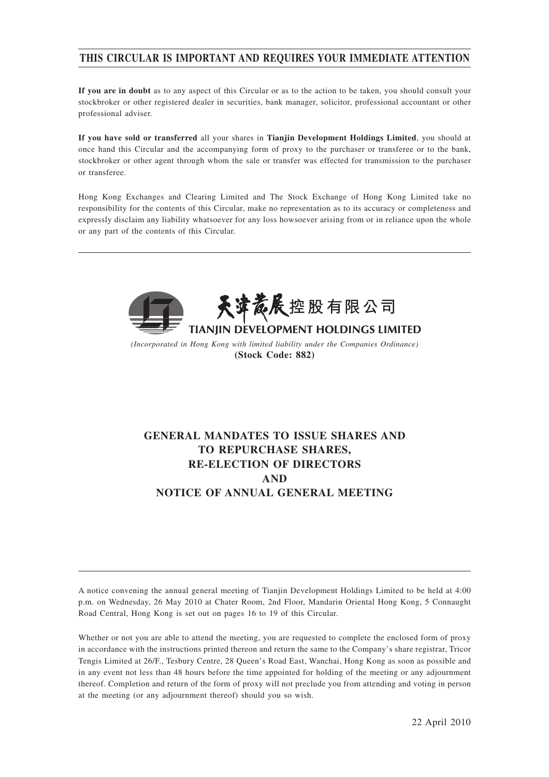# **THIS CIRCULAR IS IMPORTANT AND REQUIRES YOUR IMMEDIATE ATTENTION**

**If you are in doubt** as to any aspect of this Circular or as to the action to be taken, you should consult your stockbroker or other registered dealer in securities, bank manager, solicitor, professional accountant or other professional adviser.

**If you have sold or transferred** all your shares in **Tianjin Development Holdings Limited**, you should at once hand this Circular and the accompanying form of proxy to the purchaser or transferee or to the bank, stockbroker or other agent through whom the sale or transfer was effected for transmission to the purchaser or transferee.

Hong Kong Exchanges and Clearing Limited and The Stock Exchange of Hong Kong Limited take no responsibility for the contents of this Circular, make no representation as to its accuracy or completeness and expressly disclaim any liability whatsoever for any loss howsoever arising from or in reliance upon the whole or any part of the contents of this Circular.



*(Incorporated in Hong Kong with limited liability under the Companies Ordinance)* **(Stock Code: 882)**

# **GENERAL MANDATES TO ISSUE SHARES AND TO REPURCHASE SHARES, RE-ELECTION OF DIRECTORS AND NOTICE OF ANNUAL GENERAL MEETING**

A notice convening the annual general meeting of Tianjin Development Holdings Limited to be held at 4:00 p.m. on Wednesday, 26 May 2010 at Chater Room, 2nd Floor, Mandarin Oriental Hong Kong, 5 Connaught Road Central, Hong Kong is set out on pages 16 to 19 of this Circular.

Whether or not you are able to attend the meeting, you are requested to complete the enclosed form of proxy in accordance with the instructions printed thereon and return the same to the Company's share registrar, Tricor Tengis Limited at 26/F., Tesbury Centre, 28 Queen's Road East, Wanchai, Hong Kong as soon as possible and in any event not less than 48 hours before the time appointed for holding of the meeting or any adjournment thereof. Completion and return of the form of proxy will not preclude you from attending and voting in person at the meeting (or any adjournment thereof) should you so wish.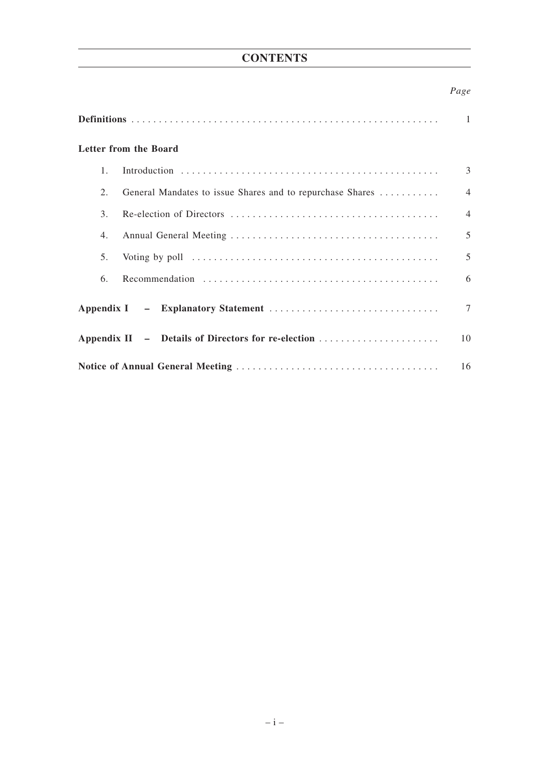# **CONTENTS**

# *Page*

|                                                                 | $\mathbf{1}$   |
|-----------------------------------------------------------------|----------------|
| Letter from the Board                                           |                |
| $1_{-}$                                                         | 3              |
| General Mandates to issue Shares and to repurchase Shares<br>2. | $\overline{4}$ |
| 3.                                                              | $\overline{4}$ |
| 4.                                                              | 5              |
| 5.                                                              | 5              |
| 6.                                                              | 6              |
|                                                                 | $\tau$         |
| Appendix II - Details of Directors for re-election              | 10             |
|                                                                 | 16             |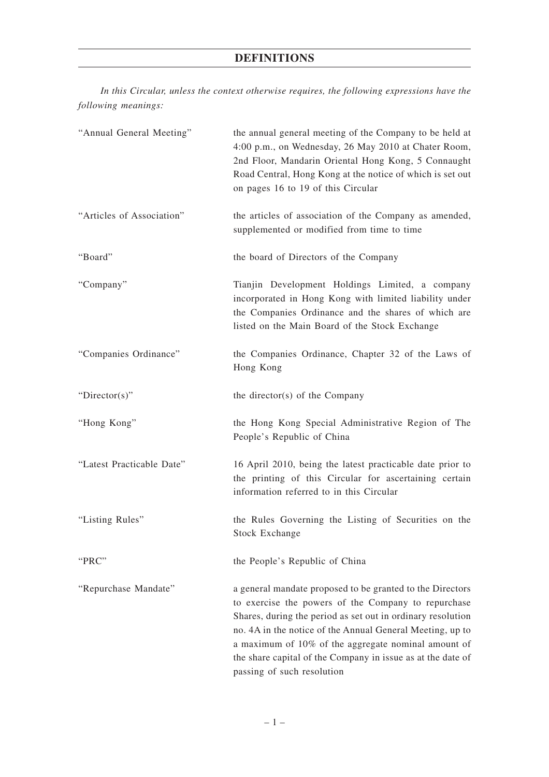# **DEFINITIONS**

*In this Circular, unless the context otherwise requires, the following expressions have the following meanings:*

| "Annual General Meeting"  | the annual general meeting of the Company to be held at<br>4:00 p.m., on Wednesday, 26 May 2010 at Chater Room,<br>2nd Floor, Mandarin Oriental Hong Kong, 5 Connaught<br>Road Central, Hong Kong at the notice of which is set out<br>on pages 16 to 19 of this Circular                                                                                                                        |
|---------------------------|--------------------------------------------------------------------------------------------------------------------------------------------------------------------------------------------------------------------------------------------------------------------------------------------------------------------------------------------------------------------------------------------------|
| "Articles of Association" | the articles of association of the Company as amended,<br>supplemented or modified from time to time                                                                                                                                                                                                                                                                                             |
| "Board"                   | the board of Directors of the Company                                                                                                                                                                                                                                                                                                                                                            |
| "Company"                 | Tianjin Development Holdings Limited, a company<br>incorporated in Hong Kong with limited liability under<br>the Companies Ordinance and the shares of which are<br>listed on the Main Board of the Stock Exchange                                                                                                                                                                               |
| "Companies Ordinance"     | the Companies Ordinance, Chapter 32 of the Laws of<br>Hong Kong                                                                                                                                                                                                                                                                                                                                  |
| "Director(s)"             | the director(s) of the Company                                                                                                                                                                                                                                                                                                                                                                   |
| "Hong Kong"               | the Hong Kong Special Administrative Region of The<br>People's Republic of China                                                                                                                                                                                                                                                                                                                 |
| "Latest Practicable Date" | 16 April 2010, being the latest practicable date prior to<br>the printing of this Circular for ascertaining certain<br>information referred to in this Circular                                                                                                                                                                                                                                  |
| "Listing Rules"           | the Rules Governing the Listing of Securities on the<br><b>Stock Exchange</b>                                                                                                                                                                                                                                                                                                                    |
| "PRC"                     | the People's Republic of China                                                                                                                                                                                                                                                                                                                                                                   |
| "Repurchase Mandate"      | a general mandate proposed to be granted to the Directors<br>to exercise the powers of the Company to repurchase<br>Shares, during the period as set out in ordinary resolution<br>no. 4A in the notice of the Annual General Meeting, up to<br>a maximum of 10% of the aggregate nominal amount of<br>the share capital of the Company in issue as at the date of<br>passing of such resolution |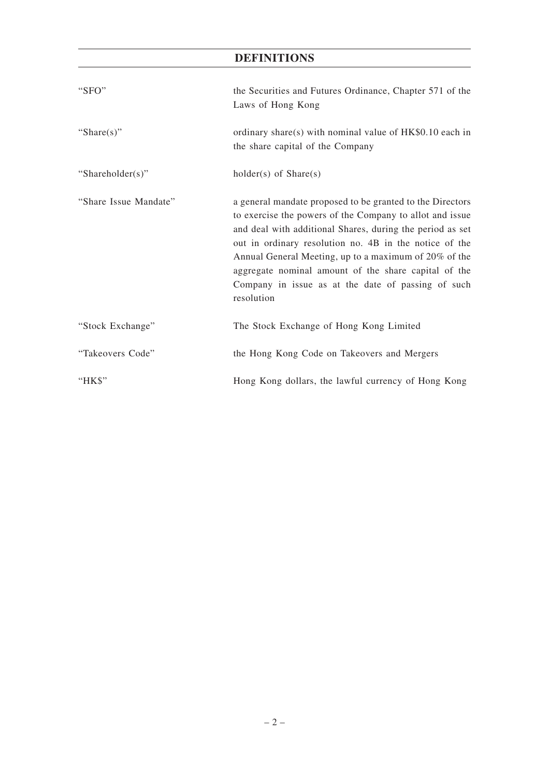# **DEFINITIONS**

| "SFO"                 | the Securities and Futures Ordinance, Chapter 571 of the<br>Laws of Hong Kong                                                                                                                                                                                                                                                                                                                                                     |
|-----------------------|-----------------------------------------------------------------------------------------------------------------------------------------------------------------------------------------------------------------------------------------------------------------------------------------------------------------------------------------------------------------------------------------------------------------------------------|
| "Share $(s)$ "        | ordinary share(s) with nominal value of HK\$0.10 each in<br>the share capital of the Company                                                                                                                                                                                                                                                                                                                                      |
| "Shareholder(s)"      | $holder(s)$ of $Share(s)$                                                                                                                                                                                                                                                                                                                                                                                                         |
| "Share Issue Mandate" | a general mandate proposed to be granted to the Directors<br>to exercise the powers of the Company to allot and issue<br>and deal with additional Shares, during the period as set<br>out in ordinary resolution no. 4B in the notice of the<br>Annual General Meeting, up to a maximum of 20% of the<br>aggregate nominal amount of the share capital of the<br>Company in issue as at the date of passing of such<br>resolution |
| "Stock Exchange"      | The Stock Exchange of Hong Kong Limited                                                                                                                                                                                                                                                                                                                                                                                           |
| "Takeovers Code"      | the Hong Kong Code on Takeovers and Mergers                                                                                                                                                                                                                                                                                                                                                                                       |
| "HK\$"                | Hong Kong dollars, the lawful currency of Hong Kong                                                                                                                                                                                                                                                                                                                                                                               |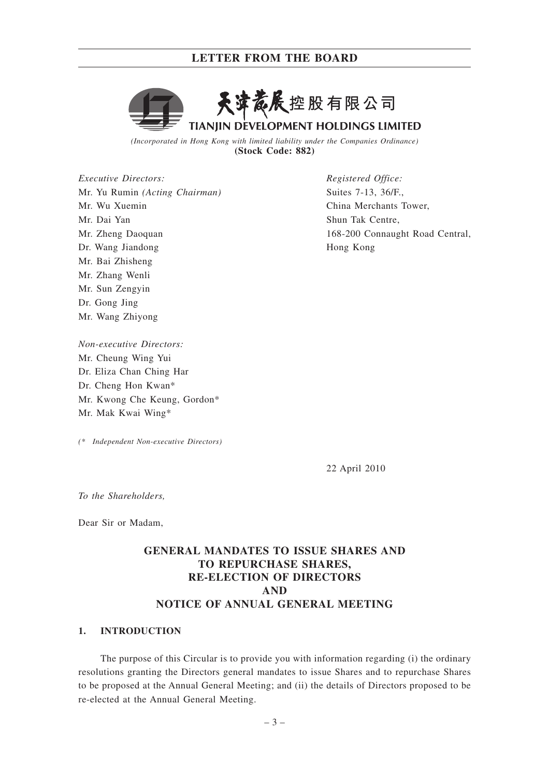

**TIANJIN DEVELOPMENT HOLDINGS LIMITED** 

*(Incorporated in Hong Kong with limited liability under the Companies Ordinance)* **(Stock Code: 882)**

*Executive Directors:* Mr. Yu Rumin *(Acting Chairman)* Mr. Wu Xuemin Mr. Dai Yan Mr. Zheng Daoquan Dr. Wang Jiandong Mr. Bai Zhisheng Mr. Zhang Wenli Mr. Sun Zengyin Dr. Gong Jing Mr. Wang Zhiyong

*Non-executive Directors:* Mr. Cheung Wing Yui Dr. Eliza Chan Ching Har Dr. Cheng Hon Kwan\* Mr. Kwong Che Keung, Gordon\* Mr. Mak Kwai Wing\*

*(\* Independent Non-executive Directors)*

*Registered Office:* Suites 7-13, 36/F., China Merchants Tower, Shun Tak Centre, 168-200 Connaught Road Central, Hong Kong

22 April 2010

*To the Shareholders,*

Dear Sir or Madam,

# **GENERAL MANDATES TO ISSUE SHARES AND TO REPURCHASE SHARES, RE-ELECTION OF DIRECTORS AND NOTICE OF ANNUAL GENERAL MEETING**

## **1. INTRODUCTION**

The purpose of this Circular is to provide you with information regarding (i) the ordinary resolutions granting the Directors general mandates to issue Shares and to repurchase Shares to be proposed at the Annual General Meeting; and (ii) the details of Directors proposed to be re-elected at the Annual General Meeting.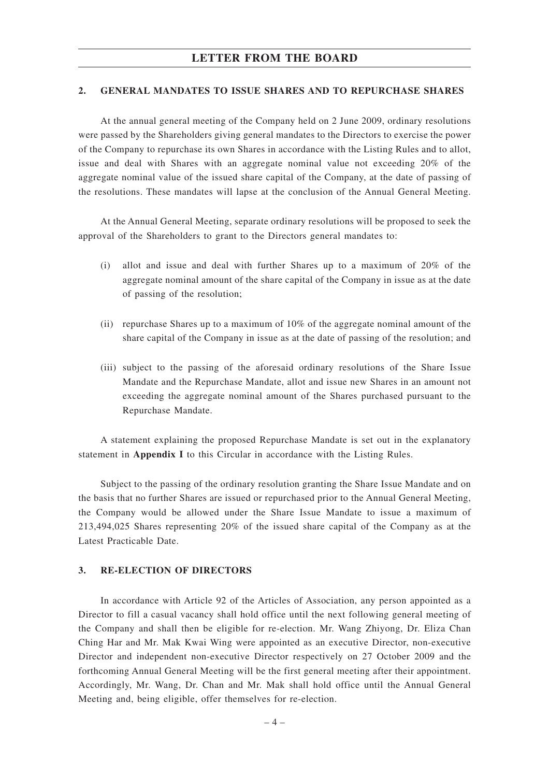### **2. GENERAL MANDATES TO ISSUE SHARES AND TO REPURCHASE SHARES**

At the annual general meeting of the Company held on 2 June 2009, ordinary resolutions were passed by the Shareholders giving general mandates to the Directors to exercise the power of the Company to repurchase its own Shares in accordance with the Listing Rules and to allot, issue and deal with Shares with an aggregate nominal value not exceeding 20% of the aggregate nominal value of the issued share capital of the Company, at the date of passing of the resolutions. These mandates will lapse at the conclusion of the Annual General Meeting.

At the Annual General Meeting, separate ordinary resolutions will be proposed to seek the approval of the Shareholders to grant to the Directors general mandates to:

- (i) allot and issue and deal with further Shares up to a maximum of 20% of the aggregate nominal amount of the share capital of the Company in issue as at the date of passing of the resolution;
- (ii) repurchase Shares up to a maximum of  $10\%$  of the aggregate nominal amount of the share capital of the Company in issue as at the date of passing of the resolution; and
- (iii) subject to the passing of the aforesaid ordinary resolutions of the Share Issue Mandate and the Repurchase Mandate, allot and issue new Shares in an amount not exceeding the aggregate nominal amount of the Shares purchased pursuant to the Repurchase Mandate.

A statement explaining the proposed Repurchase Mandate is set out in the explanatory statement in **Appendix I** to this Circular in accordance with the Listing Rules.

Subject to the passing of the ordinary resolution granting the Share Issue Mandate and on the basis that no further Shares are issued or repurchased prior to the Annual General Meeting, the Company would be allowed under the Share Issue Mandate to issue a maximum of 213,494,025 Shares representing 20% of the issued share capital of the Company as at the Latest Practicable Date.

## **3. RE-ELECTION OF DIRECTORS**

In accordance with Article 92 of the Articles of Association, any person appointed as a Director to fill a casual vacancy shall hold office until the next following general meeting of the Company and shall then be eligible for re-election. Mr. Wang Zhiyong, Dr. Eliza Chan Ching Har and Mr. Mak Kwai Wing were appointed as an executive Director, non-executive Director and independent non-executive Director respectively on 27 October 2009 and the forthcoming Annual General Meeting will be the first general meeting after their appointment. Accordingly, Mr. Wang, Dr. Chan and Mr. Mak shall hold office until the Annual General Meeting and, being eligible, offer themselves for re-election.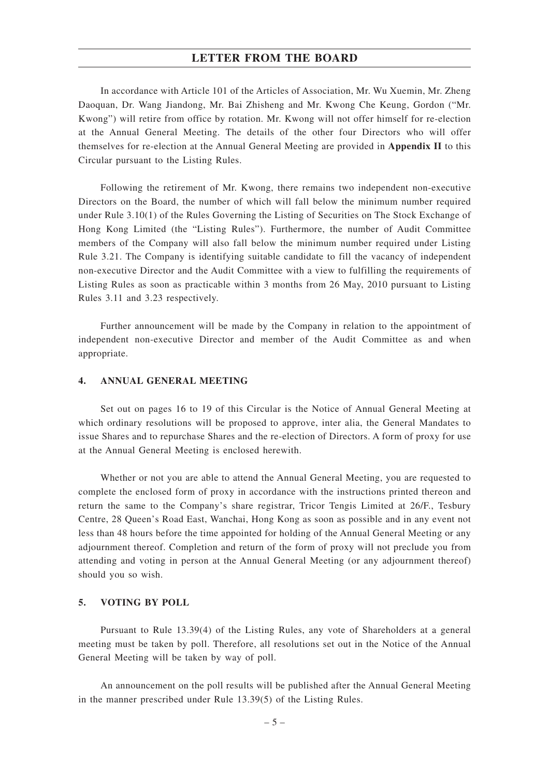In accordance with Article 101 of the Articles of Association, Mr. Wu Xuemin, Mr. Zheng Daoquan, Dr. Wang Jiandong, Mr. Bai Zhisheng and Mr. Kwong Che Keung, Gordon ("Mr. Kwong") will retire from office by rotation. Mr. Kwong will not offer himself for re-election at the Annual General Meeting. The details of the other four Directors who will offer themselves for re-election at the Annual General Meeting are provided in **Appendix II** to this Circular pursuant to the Listing Rules.

Following the retirement of Mr. Kwong, there remains two independent non-executive Directors on the Board, the number of which will fall below the minimum number required under Rule 3.10(1) of the Rules Governing the Listing of Securities on The Stock Exchange of Hong Kong Limited (the "Listing Rules"). Furthermore, the number of Audit Committee members of the Company will also fall below the minimum number required under Listing Rule 3.21. The Company is identifying suitable candidate to fill the vacancy of independent non-executive Director and the Audit Committee with a view to fulfilling the requirements of Listing Rules as soon as practicable within 3 months from 26 May, 2010 pursuant to Listing Rules 3.11 and 3.23 respectively.

Further announcement will be made by the Company in relation to the appointment of independent non-executive Director and member of the Audit Committee as and when appropriate.

### **4. ANNUAL GENERAL MEETING**

Set out on pages 16 to 19 of this Circular is the Notice of Annual General Meeting at which ordinary resolutions will be proposed to approve, inter alia, the General Mandates to issue Shares and to repurchase Shares and the re-election of Directors. A form of proxy for use at the Annual General Meeting is enclosed herewith.

Whether or not you are able to attend the Annual General Meeting, you are requested to complete the enclosed form of proxy in accordance with the instructions printed thereon and return the same to the Company's share registrar, Tricor Tengis Limited at 26/F., Tesbury Centre, 28 Queen's Road East, Wanchai, Hong Kong as soon as possible and in any event not less than 48 hours before the time appointed for holding of the Annual General Meeting or any adjournment thereof. Completion and return of the form of proxy will not preclude you from attending and voting in person at the Annual General Meeting (or any adjournment thereof) should you so wish.

### **5. VOTING BY POLL**

Pursuant to Rule 13.39(4) of the Listing Rules, any vote of Shareholders at a general meeting must be taken by poll. Therefore, all resolutions set out in the Notice of the Annual General Meeting will be taken by way of poll.

An announcement on the poll results will be published after the Annual General Meeting in the manner prescribed under Rule 13.39(5) of the Listing Rules.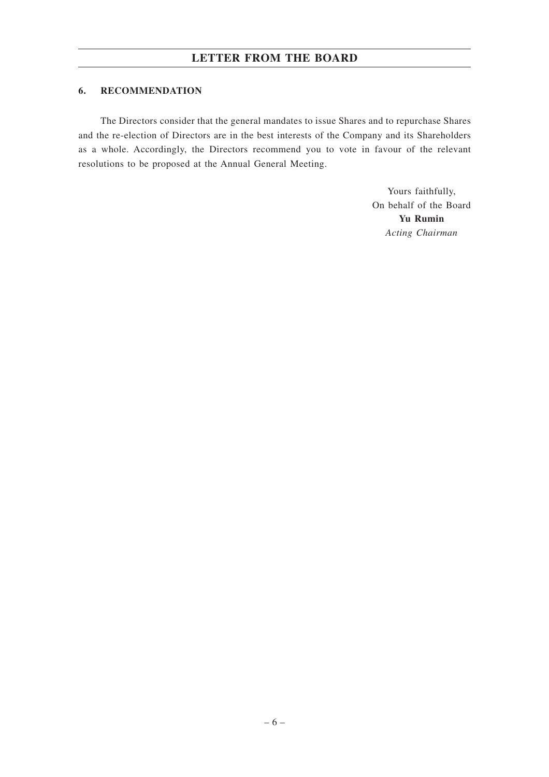## **6. RECOMMENDATION**

The Directors consider that the general mandates to issue Shares and to repurchase Shares and the re-election of Directors are in the best interests of the Company and its Shareholders as a whole. Accordingly, the Directors recommend you to vote in favour of the relevant resolutions to be proposed at the Annual General Meeting.

> Yours faithfully, On behalf of the Board **Yu Rumin** *Acting Chairman*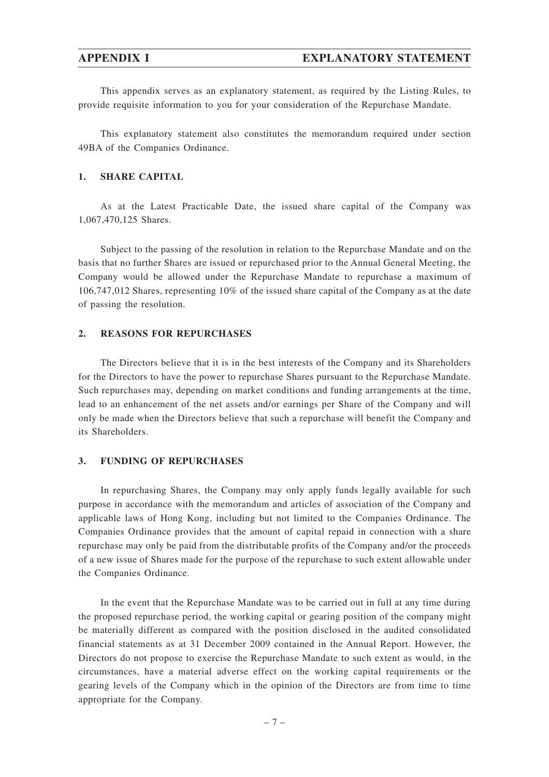This appendix serves as an explanatory statement, as required by the Listing Rules, to provide requisite information to you for your consideration of the Repurchase Mandate.

This explanatory statement also constitutes the memorandum required under section 49BA of the Companies Ordinance.

### **1. SHARE CAPITAL**

As at the Latest Practicable Date, the issued share capital of the Company was 1,067,470,125 Shares.

Subject to the passing of the resolution in relation to the Repurchase Mandate and on the basis that no further Shares are issued or repurchased prior to the Annual General Meeting, the Company would be allowed under the Repurchase Mandate to repurchase a maximum of 106,747,012 Shares, representing 10% of the issued share capital of the Company as at the date of passing the resolution.

## **2. REASONS FOR REPURCHASES**

The Directors believe that it is in the best interests of the Company and its Shareholders for the Directors to have the power to repurchase Shares pursuant to the Repurchase Mandate. Such repurchases may, depending on market conditions and funding arrangements at the time, lead to an enhancement of the net assets and/or earnings per Share of the Company and will only be made when the Directors believe that such a repurchase will benefit the Company and its Shareholders.

### **3. FUNDING OF REPURCHASES**

In repurchasing Shares, the Company may only apply funds legally available for such purpose in accordance with the memorandum and articles of association of the Company and applicable laws of Hong Kong, including but not limited to the Companies Ordinance. The Companies Ordinance provides that the amount of capital repaid in connection with a share repurchase may only be paid from the distributable profits of the Company and/or the proceeds of a new issue of Shares made for the purpose of the repurchase to such extent allowable under the Companies Ordinance.

In the event that the Repurchase Mandate was to be carried out in full at any time during the proposed repurchase period, the working capital or gearing position of the company might be materially different as compared with the position disclosed in the audited consolidated financial statements as at 31 December 2009 contained in the Annual Report. However, the Directors do not propose to exercise the Repurchase Mandate to such extent as would, in the circumstances, have a material adverse effect on the working capital requirements or the gearing levels of the Company which in the opinion of the Directors are from time to time appropriate for the Company.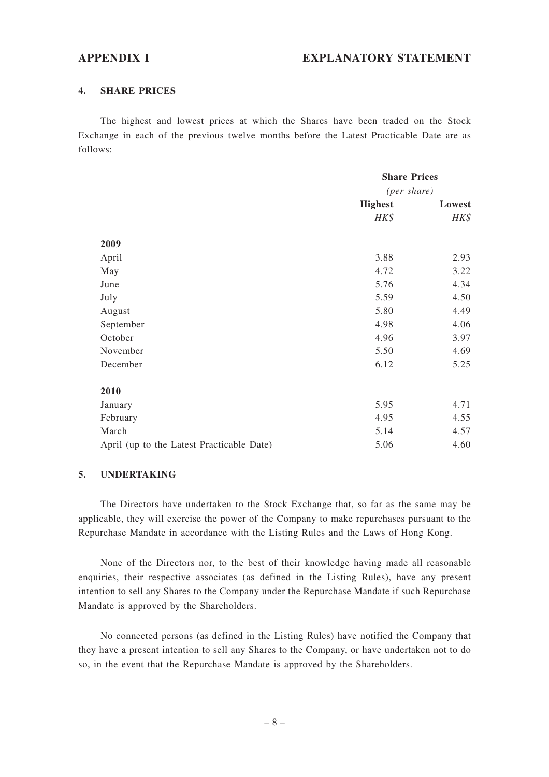### **4. SHARE PRICES**

The highest and lowest prices at which the Shares have been traded on the Stock Exchange in each of the previous twelve months before the Latest Practicable Date are as follows:

|                                           | <b>Share Prices</b> |        |
|-------------------------------------------|---------------------|--------|
|                                           | (per share)         |        |
|                                           | <b>Highest</b>      | Lowest |
|                                           | HK\$                | HK\$   |
| 2009                                      |                     |        |
| April                                     | 3.88                | 2.93   |
| May                                       | 4.72                | 3.22   |
| June                                      | 5.76                | 4.34   |
| July                                      | 5.59                | 4.50   |
| August                                    | 5.80                | 4.49   |
| September                                 | 4.98                | 4.06   |
| October                                   | 4.96                | 3.97   |
| November                                  | 5.50                | 4.69   |
| December                                  | 6.12                | 5.25   |
| 2010                                      |                     |        |
| January                                   | 5.95                | 4.71   |
| February                                  | 4.95                | 4.55   |
| March                                     | 5.14                | 4.57   |
| April (up to the Latest Practicable Date) | 5.06                | 4.60   |

### **5. UNDERTAKING**

The Directors have undertaken to the Stock Exchange that, so far as the same may be applicable, they will exercise the power of the Company to make repurchases pursuant to the Repurchase Mandate in accordance with the Listing Rules and the Laws of Hong Kong.

None of the Directors nor, to the best of their knowledge having made all reasonable enquiries, their respective associates (as defined in the Listing Rules), have any present intention to sell any Shares to the Company under the Repurchase Mandate if such Repurchase Mandate is approved by the Shareholders.

No connected persons (as defined in the Listing Rules) have notified the Company that they have a present intention to sell any Shares to the Company, or have undertaken not to do so, in the event that the Repurchase Mandate is approved by the Shareholders.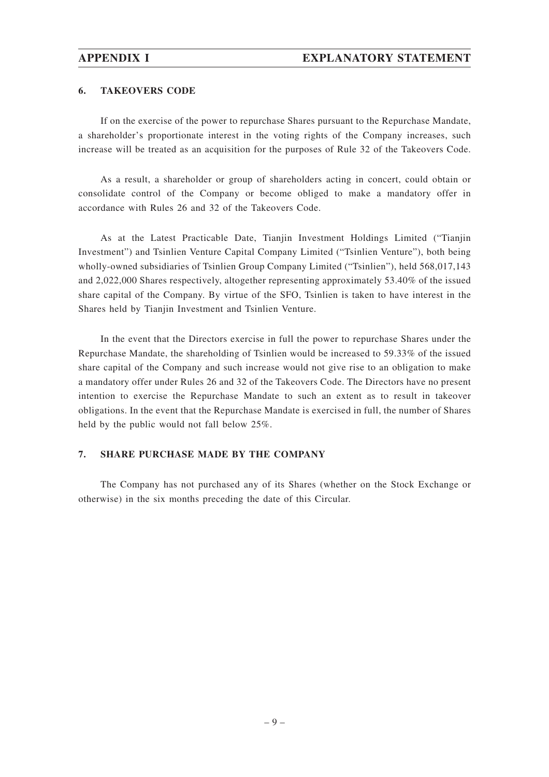### **6. TAKEOVERS CODE**

If on the exercise of the power to repurchase Shares pursuant to the Repurchase Mandate, a shareholder's proportionate interest in the voting rights of the Company increases, such increase will be treated as an acquisition for the purposes of Rule 32 of the Takeovers Code.

As a result, a shareholder or group of shareholders acting in concert, could obtain or consolidate control of the Company or become obliged to make a mandatory offer in accordance with Rules 26 and 32 of the Takeovers Code.

As at the Latest Practicable Date, Tianjin Investment Holdings Limited ("Tianjin Investment") and Tsinlien Venture Capital Company Limited ("Tsinlien Venture"), both being wholly-owned subsidiaries of Tsinlien Group Company Limited ("Tsinlien"), held 568,017,143 and 2,022,000 Shares respectively, altogether representing approximately 53.40% of the issued share capital of the Company. By virtue of the SFO, Tsinlien is taken to have interest in the Shares held by Tianjin Investment and Tsinlien Venture.

In the event that the Directors exercise in full the power to repurchase Shares under the Repurchase Mandate, the shareholding of Tsinlien would be increased to 59.33% of the issued share capital of the Company and such increase would not give rise to an obligation to make a mandatory offer under Rules 26 and 32 of the Takeovers Code. The Directors have no present intention to exercise the Repurchase Mandate to such an extent as to result in takeover obligations. In the event that the Repurchase Mandate is exercised in full, the number of Shares held by the public would not fall below 25%.

### **7. SHARE PURCHASE MADE BY THE COMPANY**

The Company has not purchased any of its Shares (whether on the Stock Exchange or otherwise) in the six months preceding the date of this Circular.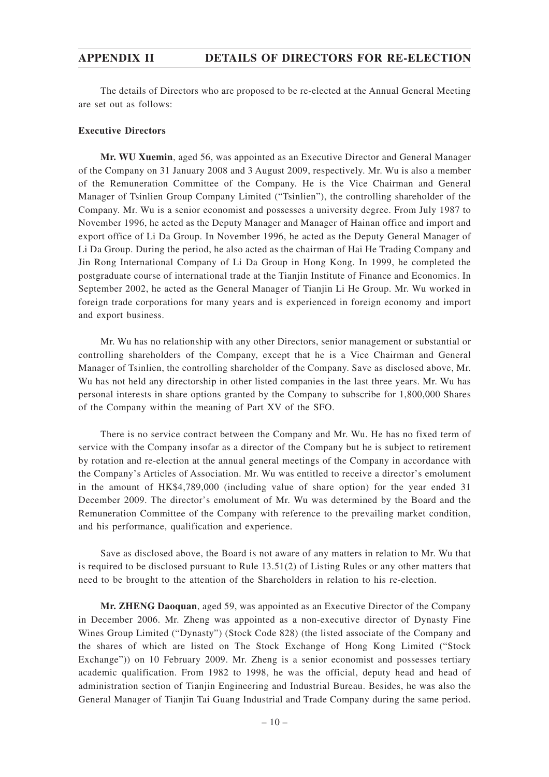The details of Directors who are proposed to be re-elected at the Annual General Meeting are set out as follows:

### **Executive Directors**

**Mr. WU Xuemin**, aged 56, was appointed as an Executive Director and General Manager of the Company on 31 January 2008 and 3 August 2009, respectively. Mr. Wu is also a member of the Remuneration Committee of the Company. He is the Vice Chairman and General Manager of Tsinlien Group Company Limited ("Tsinlien"), the controlling shareholder of the Company. Mr. Wu is a senior economist and possesses a university degree. From July 1987 to November 1996, he acted as the Deputy Manager and Manager of Hainan office and import and export office of Li Da Group. In November 1996, he acted as the Deputy General Manager of Li Da Group. During the period, he also acted as the chairman of Hai He Trading Company and Jin Rong International Company of Li Da Group in Hong Kong. In 1999, he completed the postgraduate course of international trade at the Tianjin Institute of Finance and Economics. In September 2002, he acted as the General Manager of Tianjin Li He Group. Mr. Wu worked in foreign trade corporations for many years and is experienced in foreign economy and import and export business.

Mr. Wu has no relationship with any other Directors, senior management or substantial or controlling shareholders of the Company, except that he is a Vice Chairman and General Manager of Tsinlien, the controlling shareholder of the Company. Save as disclosed above, Mr. Wu has not held any directorship in other listed companies in the last three years. Mr. Wu has personal interests in share options granted by the Company to subscribe for 1,800,000 Shares of the Company within the meaning of Part XV of the SFO.

There is no service contract between the Company and Mr. Wu. He has no fixed term of service with the Company insofar as a director of the Company but he is subject to retirement by rotation and re-election at the annual general meetings of the Company in accordance with the Company's Articles of Association. Mr. Wu was entitled to receive a director's emolument in the amount of HK\$4,789,000 (including value of share option) for the year ended 31 December 2009. The director's emolument of Mr. Wu was determined by the Board and the Remuneration Committee of the Company with reference to the prevailing market condition, and his performance, qualification and experience.

Save as disclosed above, the Board is not aware of any matters in relation to Mr. Wu that is required to be disclosed pursuant to Rule 13.51(2) of Listing Rules or any other matters that need to be brought to the attention of the Shareholders in relation to his re-election.

**Mr. ZHENG Daoquan**, aged 59, was appointed as an Executive Director of the Company in December 2006. Mr. Zheng was appointed as a non-executive director of Dynasty Fine Wines Group Limited ("Dynasty") (Stock Code 828) (the listed associate of the Company and the shares of which are listed on The Stock Exchange of Hong Kong Limited ("Stock Exchange")) on 10 February 2009. Mr. Zheng is a senior economist and possesses tertiary academic qualification. From 1982 to 1998, he was the official, deputy head and head of administration section of Tianjin Engineering and Industrial Bureau. Besides, he was also the General Manager of Tianjin Tai Guang Industrial and Trade Company during the same period.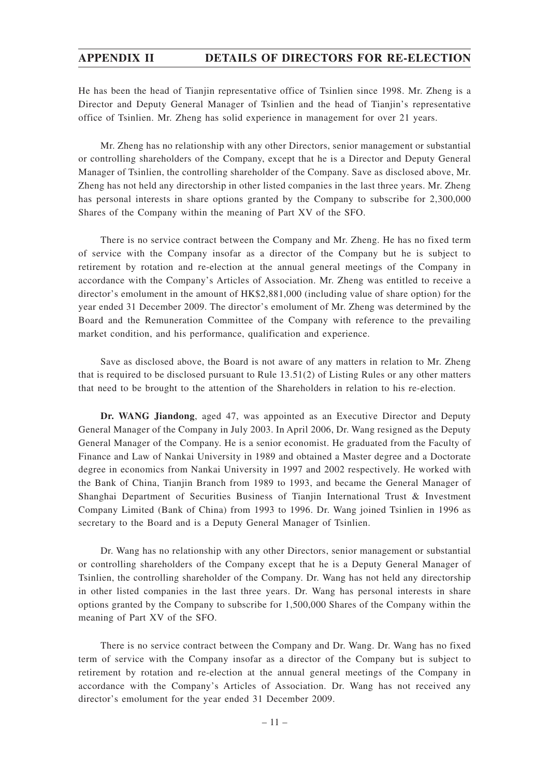He has been the head of Tianjin representative office of Tsinlien since 1998. Mr. Zheng is a Director and Deputy General Manager of Tsinlien and the head of Tianjin's representative office of Tsinlien. Mr. Zheng has solid experience in management for over 21 years.

Mr. Zheng has no relationship with any other Directors, senior management or substantial or controlling shareholders of the Company, except that he is a Director and Deputy General Manager of Tsinlien, the controlling shareholder of the Company. Save as disclosed above, Mr. Zheng has not held any directorship in other listed companies in the last three years. Mr. Zheng has personal interests in share options granted by the Company to subscribe for 2,300,000 Shares of the Company within the meaning of Part XV of the SFO.

There is no service contract between the Company and Mr. Zheng. He has no fixed term of service with the Company insofar as a director of the Company but he is subject to retirement by rotation and re-election at the annual general meetings of the Company in accordance with the Company's Articles of Association. Mr. Zheng was entitled to receive a director's emolument in the amount of HK\$2,881,000 (including value of share option) for the year ended 31 December 2009. The director's emolument of Mr. Zheng was determined by the Board and the Remuneration Committee of the Company with reference to the prevailing market condition, and his performance, qualification and experience.

Save as disclosed above, the Board is not aware of any matters in relation to Mr. Zheng that is required to be disclosed pursuant to Rule 13.51(2) of Listing Rules or any other matters that need to be brought to the attention of the Shareholders in relation to his re-election.

**Dr. WANG Jiandong**, aged 47, was appointed as an Executive Director and Deputy General Manager of the Company in July 2003. In April 2006, Dr. Wang resigned as the Deputy General Manager of the Company. He is a senior economist. He graduated from the Faculty of Finance and Law of Nankai University in 1989 and obtained a Master degree and a Doctorate degree in economics from Nankai University in 1997 and 2002 respectively. He worked with the Bank of China, Tianjin Branch from 1989 to 1993, and became the General Manager of Shanghai Department of Securities Business of Tianjin International Trust & Investment Company Limited (Bank of China) from 1993 to 1996. Dr. Wang joined Tsinlien in 1996 as secretary to the Board and is a Deputy General Manager of Tsinlien.

Dr. Wang has no relationship with any other Directors, senior management or substantial or controlling shareholders of the Company except that he is a Deputy General Manager of Tsinlien, the controlling shareholder of the Company. Dr. Wang has not held any directorship in other listed companies in the last three years. Dr. Wang has personal interests in share options granted by the Company to subscribe for 1,500,000 Shares of the Company within the meaning of Part XV of the SFO.

There is no service contract between the Company and Dr. Wang. Dr. Wang has no fixed term of service with the Company insofar as a director of the Company but is subject to retirement by rotation and re-election at the annual general meetings of the Company in accordance with the Company's Articles of Association. Dr. Wang has not received any director's emolument for the year ended 31 December 2009.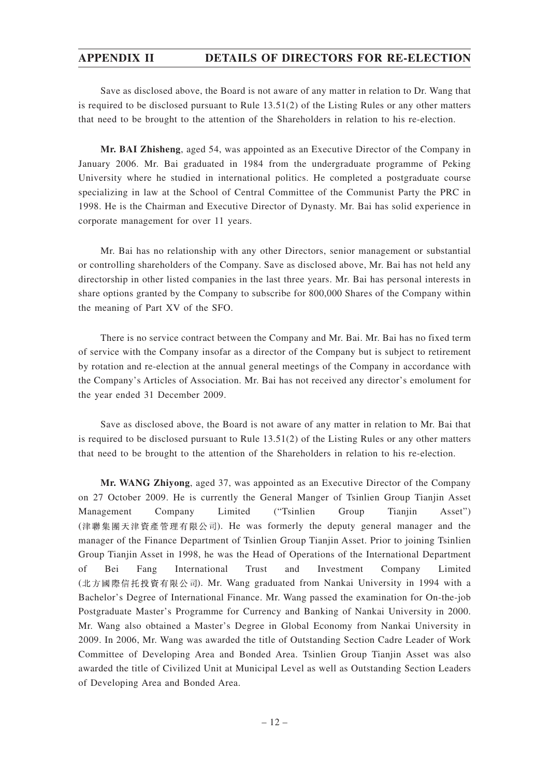Save as disclosed above, the Board is not aware of any matter in relation to Dr. Wang that is required to be disclosed pursuant to Rule 13.51(2) of the Listing Rules or any other matters that need to be brought to the attention of the Shareholders in relation to his re-election.

**Mr. BAI Zhisheng**, aged 54, was appointed as an Executive Director of the Company in January 2006. Mr. Bai graduated in 1984 from the undergraduate programme of Peking University where he studied in international politics. He completed a postgraduate course specializing in law at the School of Central Committee of the Communist Party the PRC in 1998. He is the Chairman and Executive Director of Dynasty. Mr. Bai has solid experience in corporate management for over 11 years.

Mr. Bai has no relationship with any other Directors, senior management or substantial or controlling shareholders of the Company. Save as disclosed above, Mr. Bai has not held any directorship in other listed companies in the last three years. Mr. Bai has personal interests in share options granted by the Company to subscribe for 800,000 Shares of the Company within the meaning of Part XV of the SFO.

There is no service contract between the Company and Mr. Bai. Mr. Bai has no fixed term of service with the Company insofar as a director of the Company but is subject to retirement by rotation and re-election at the annual general meetings of the Company in accordance with the Company's Articles of Association. Mr. Bai has not received any director's emolument for the year ended 31 December 2009.

Save as disclosed above, the Board is not aware of any matter in relation to Mr. Bai that is required to be disclosed pursuant to Rule 13.51(2) of the Listing Rules or any other matters that need to be brought to the attention of the Shareholders in relation to his re-election.

**Mr. WANG Zhiyong**, aged 37, was appointed as an Executive Director of the Company on 27 October 2009. He is currently the General Manger of Tsinlien Group Tianjin Asset Management Company Limited ("Tsinlien Group Tianjin Asset") (津聯集團天津資產管理有限公司). He was formerly the deputy general manager and the manager of the Finance Department of Tsinlien Group Tianjin Asset. Prior to joining Tsinlien Group Tianjin Asset in 1998, he was the Head of Operations of the International Department of Bei Fang International Trust and Investment Company Limited (北方國際信托投資有限公司). Mr. Wang graduated from Nankai University in 1994 with a Bachelor's Degree of International Finance. Mr. Wang passed the examination for On-the-job Postgraduate Master's Programme for Currency and Banking of Nankai University in 2000. Mr. Wang also obtained a Master's Degree in Global Economy from Nankai University in 2009. In 2006, Mr. Wang was awarded the title of Outstanding Section Cadre Leader of Work Committee of Developing Area and Bonded Area. Tsinlien Group Tianjin Asset was also awarded the title of Civilized Unit at Municipal Level as well as Outstanding Section Leaders of Developing Area and Bonded Area.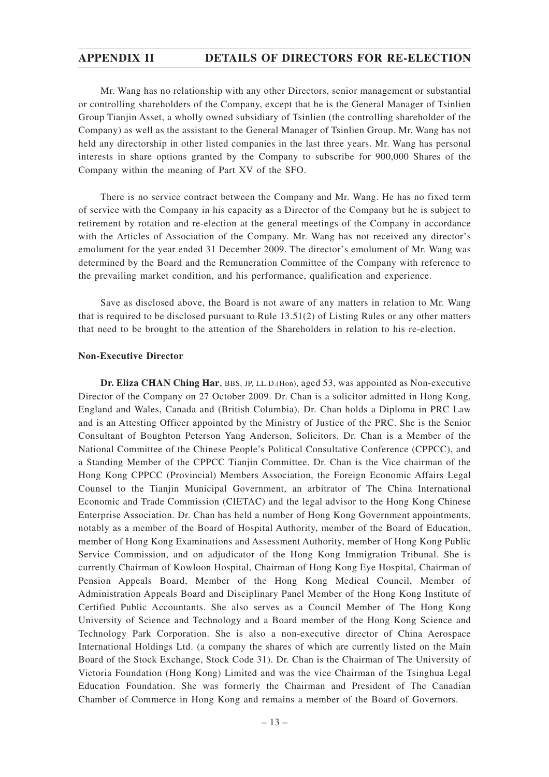Mr. Wang has no relationship with any other Directors, senior management or substantial or controlling shareholders of the Company, except that he is the General Manager of Tsinlien Group Tianjin Asset, a wholly owned subsidiary of Tsinlien (the controlling shareholder of the Company) as well as the assistant to the General Manager of Tsinlien Group. Mr. Wang has not held any directorship in other listed companies in the last three years. Mr. Wang has personal interests in share options granted by the Company to subscribe for 900,000 Shares of the Company within the meaning of Part XV of the SFO.

There is no service contract between the Company and Mr. Wang. He has no fixed term of service with the Company in his capacity as a Director of the Company but he is subject to retirement by rotation and re-election at the general meetings of the Company in accordance with the Articles of Association of the Company. Mr. Wang has not received any director's emolument for the year ended 31 December 2009. The director's emolument of Mr. Wang was determined by the Board and the Remuneration Committee of the Company with reference to the prevailing market condition, and his performance, qualification and experience.

Save as disclosed above, the Board is not aware of any matters in relation to Mr. Wang that is required to be disclosed pursuant to Rule 13.51(2) of Listing Rules or any other matters that need to be brought to the attention of the Shareholders in relation to his re-election.

### **Non-Executive Director**

**Dr. Eliza CHAN Ching Har**, BBS, JP, LL.D.(Hon), aged 53, was appointed as Non-executive Director of the Company on 27 October 2009. Dr. Chan is a solicitor admitted in Hong Kong, England and Wales, Canada and (British Columbia). Dr. Chan holds a Diploma in PRC Law and is an Attesting Officer appointed by the Ministry of Justice of the PRC. She is the Senior Consultant of Boughton Peterson Yang Anderson, Solicitors. Dr. Chan is a Member of the National Committee of the Chinese People's Political Consultative Conference (CPPCC), and a Standing Member of the CPPCC Tianjin Committee. Dr. Chan is the Vice chairman of the Hong Kong CPPCC (Provincial) Members Association, the Foreign Economic Affairs Legal Counsel to the Tianjin Municipal Government, an arbitrator of The China International Economic and Trade Commission (CIETAC) and the legal advisor to the Hong Kong Chinese Enterprise Association. Dr. Chan has held a number of Hong Kong Government appointments, notably as a member of the Board of Hospital Authority, member of the Board of Education, member of Hong Kong Examinations and Assessment Authority, member of Hong Kong Public Service Commission, and on adjudicator of the Hong Kong Immigration Tribunal. She is currently Chairman of Kowloon Hospital, Chairman of Hong Kong Eye Hospital, Chairman of Pension Appeals Board, Member of the Hong Kong Medical Council, Member of Administration Appeals Board and Disciplinary Panel Member of the Hong Kong Institute of Certified Public Accountants. She also serves as a Council Member of The Hong Kong University of Science and Technology and a Board member of the Hong Kong Science and Technology Park Corporation. She is also a non-executive director of China Aerospace International Holdings Ltd. (a company the shares of which are currently listed on the Main Board of the Stock Exchange, Stock Code 31). Dr. Chan is the Chairman of The University of Victoria Foundation (Hong Kong) Limited and was the vice Chairman of the Tsinghua Legal Education Foundation. She was formerly the Chairman and President of The Canadian Chamber of Commerce in Hong Kong and remains a member of the Board of Governors.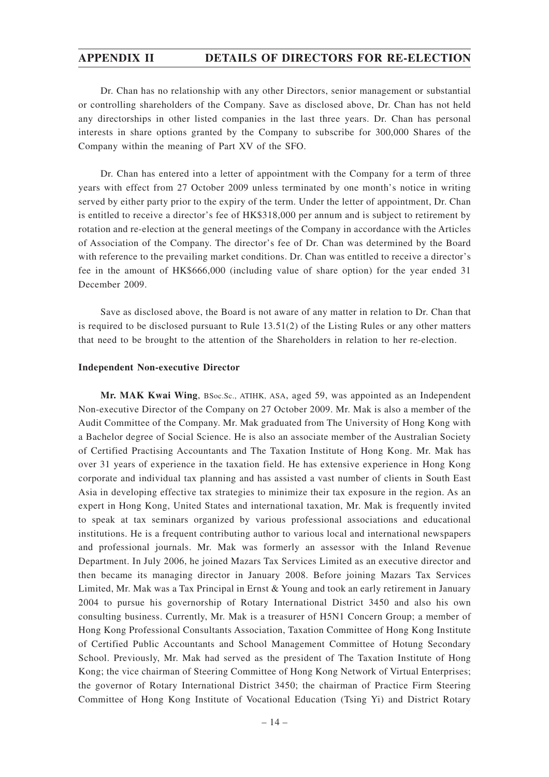Dr. Chan has no relationship with any other Directors, senior management or substantial or controlling shareholders of the Company. Save as disclosed above, Dr. Chan has not held any directorships in other listed companies in the last three years. Dr. Chan has personal interests in share options granted by the Company to subscribe for 300,000 Shares of the Company within the meaning of Part XV of the SFO.

Dr. Chan has entered into a letter of appointment with the Company for a term of three years with effect from 27 October 2009 unless terminated by one month's notice in writing served by either party prior to the expiry of the term. Under the letter of appointment, Dr. Chan is entitled to receive a director's fee of HK\$318,000 per annum and is subject to retirement by rotation and re-election at the general meetings of the Company in accordance with the Articles of Association of the Company. The director's fee of Dr. Chan was determined by the Board with reference to the prevailing market conditions. Dr. Chan was entitled to receive a director's fee in the amount of HK\$666,000 (including value of share option) for the year ended 31 December 2009.

Save as disclosed above, the Board is not aware of any matter in relation to Dr. Chan that is required to be disclosed pursuant to Rule 13.51(2) of the Listing Rules or any other matters that need to be brought to the attention of the Shareholders in relation to her re-election.

### **Independent Non-executive Director**

**Mr. MAK Kwai Wing**, BSoc.Sc., ATIHK, ASA, aged 59, was appointed as an Independent Non-executive Director of the Company on 27 October 2009. Mr. Mak is also a member of the Audit Committee of the Company. Mr. Mak graduated from The University of Hong Kong with a Bachelor degree of Social Science. He is also an associate member of the Australian Society of Certified Practising Accountants and The Taxation Institute of Hong Kong. Mr. Mak has over 31 years of experience in the taxation field. He has extensive experience in Hong Kong corporate and individual tax planning and has assisted a vast number of clients in South East Asia in developing effective tax strategies to minimize their tax exposure in the region. As an expert in Hong Kong, United States and international taxation, Mr. Mak is frequently invited to speak at tax seminars organized by various professional associations and educational institutions. He is a frequent contributing author to various local and international newspapers and professional journals. Mr. Mak was formerly an assessor with the Inland Revenue Department. In July 2006, he joined Mazars Tax Services Limited as an executive director and then became its managing director in January 2008. Before joining Mazars Tax Services Limited, Mr. Mak was a Tax Principal in Ernst & Young and took an early retirement in January 2004 to pursue his governorship of Rotary International District 3450 and also his own consulting business. Currently, Mr. Mak is a treasurer of H5N1 Concern Group; a member of Hong Kong Professional Consultants Association, Taxation Committee of Hong Kong Institute of Certified Public Accountants and School Management Committee of Hotung Secondary School. Previously, Mr. Mak had served as the president of The Taxation Institute of Hong Kong; the vice chairman of Steering Committee of Hong Kong Network of Virtual Enterprises; the governor of Rotary International District 3450; the chairman of Practice Firm Steering Committee of Hong Kong Institute of Vocational Education (Tsing Yi) and District Rotary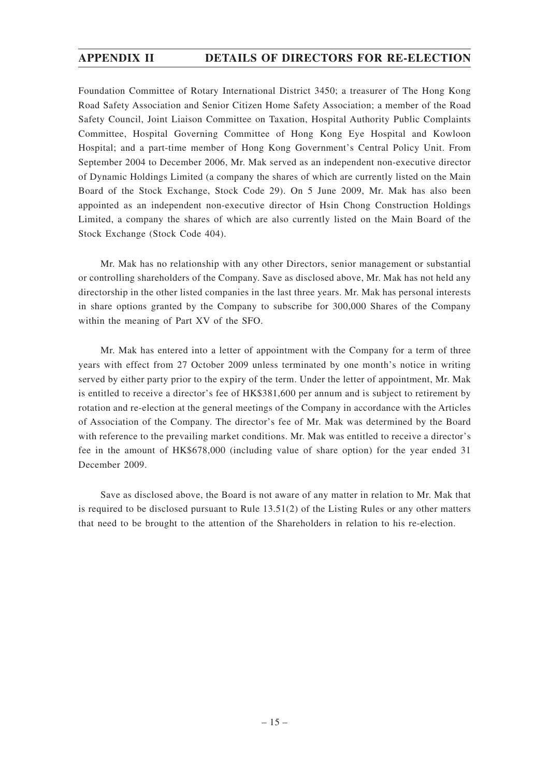Foundation Committee of Rotary International District 3450; a treasurer of The Hong Kong Road Safety Association and Senior Citizen Home Safety Association; a member of the Road Safety Council, Joint Liaison Committee on Taxation, Hospital Authority Public Complaints Committee, Hospital Governing Committee of Hong Kong Eye Hospital and Kowloon Hospital; and a part-time member of Hong Kong Government's Central Policy Unit. From September 2004 to December 2006, Mr. Mak served as an independent non-executive director of Dynamic Holdings Limited (a company the shares of which are currently listed on the Main Board of the Stock Exchange, Stock Code 29). On 5 June 2009, Mr. Mak has also been appointed as an independent non-executive director of Hsin Chong Construction Holdings Limited, a company the shares of which are also currently listed on the Main Board of the Stock Exchange (Stock Code 404).

Mr. Mak has no relationship with any other Directors, senior management or substantial or controlling shareholders of the Company. Save as disclosed above, Mr. Mak has not held any directorship in the other listed companies in the last three years. Mr. Mak has personal interests in share options granted by the Company to subscribe for 300,000 Shares of the Company within the meaning of Part XV of the SFO.

Mr. Mak has entered into a letter of appointment with the Company for a term of three years with effect from 27 October 2009 unless terminated by one month's notice in writing served by either party prior to the expiry of the term. Under the letter of appointment, Mr. Mak is entitled to receive a director's fee of HK\$381,600 per annum and is subject to retirement by rotation and re-election at the general meetings of the Company in accordance with the Articles of Association of the Company. The director's fee of Mr. Mak was determined by the Board with reference to the prevailing market conditions. Mr. Mak was entitled to receive a director's fee in the amount of HK\$678,000 (including value of share option) for the year ended 31 December 2009.

Save as disclosed above, the Board is not aware of any matter in relation to Mr. Mak that is required to be disclosed pursuant to Rule 13.51(2) of the Listing Rules or any other matters that need to be brought to the attention of the Shareholders in relation to his re-election.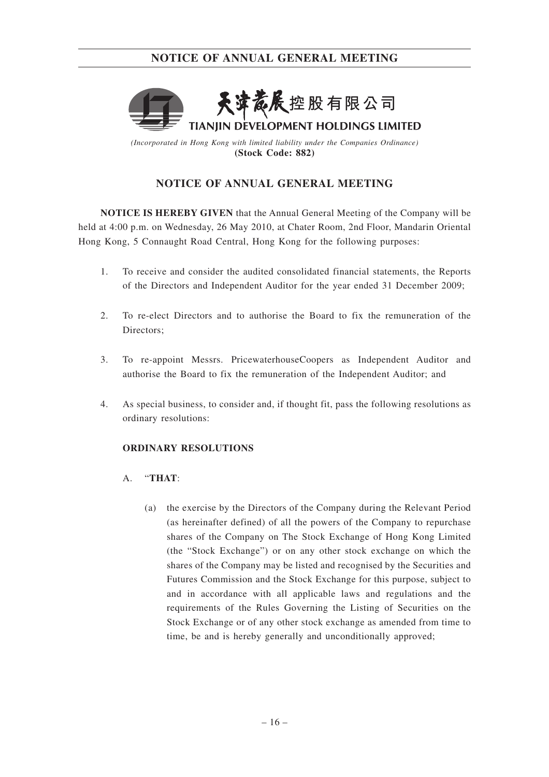

*(Incorporated in Hong Kong with limited liability under the Companies Ordinance)* **(Stock Code: 882)**

# **NOTICE OF ANNUAL GENERAL MEETING**

**NOTICE IS HEREBY GIVEN** that the Annual General Meeting of the Company will be held at 4:00 p.m. on Wednesday, 26 May 2010, at Chater Room, 2nd Floor, Mandarin Oriental Hong Kong, 5 Connaught Road Central, Hong Kong for the following purposes:

- 1. To receive and consider the audited consolidated financial statements, the Reports of the Directors and Independent Auditor for the year ended 31 December 2009;
- 2. To re-elect Directors and to authorise the Board to fix the remuneration of the Directors;
- 3. To re-appoint Messrs. PricewaterhouseCoopers as Independent Auditor and authorise the Board to fix the remuneration of the Independent Auditor; and
- 4. As special business, to consider and, if thought fit, pass the following resolutions as ordinary resolutions:

## **ORDINARY RESOLUTIONS**

## A. "**THAT**:

(a) the exercise by the Directors of the Company during the Relevant Period (as hereinafter defined) of all the powers of the Company to repurchase shares of the Company on The Stock Exchange of Hong Kong Limited (the "Stock Exchange") or on any other stock exchange on which the shares of the Company may be listed and recognised by the Securities and Futures Commission and the Stock Exchange for this purpose, subject to and in accordance with all applicable laws and regulations and the requirements of the Rules Governing the Listing of Securities on the Stock Exchange or of any other stock exchange as amended from time to time, be and is hereby generally and unconditionally approved;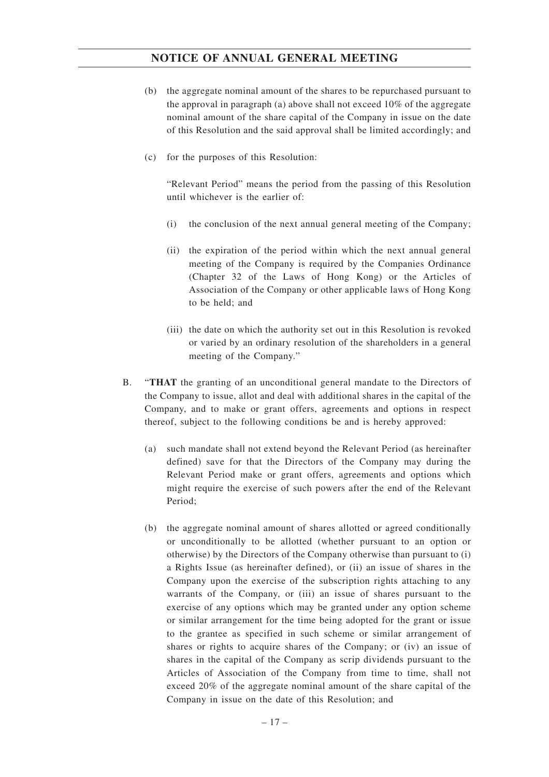- (b) the aggregate nominal amount of the shares to be repurchased pursuant to the approval in paragraph (a) above shall not exceed 10% of the aggregate nominal amount of the share capital of the Company in issue on the date of this Resolution and the said approval shall be limited accordingly; and
- (c) for the purposes of this Resolution:

"Relevant Period" means the period from the passing of this Resolution until whichever is the earlier of:

- (i) the conclusion of the next annual general meeting of the Company;
- (ii) the expiration of the period within which the next annual general meeting of the Company is required by the Companies Ordinance (Chapter 32 of the Laws of Hong Kong) or the Articles of Association of the Company or other applicable laws of Hong Kong to be held; and
- (iii) the date on which the authority set out in this Resolution is revoked or varied by an ordinary resolution of the shareholders in a general meeting of the Company."
- B. "**THAT** the granting of an unconditional general mandate to the Directors of the Company to issue, allot and deal with additional shares in the capital of the Company, and to make or grant offers, agreements and options in respect thereof, subject to the following conditions be and is hereby approved:
	- (a) such mandate shall not extend beyond the Relevant Period (as hereinafter defined) save for that the Directors of the Company may during the Relevant Period make or grant offers, agreements and options which might require the exercise of such powers after the end of the Relevant Period;
	- (b) the aggregate nominal amount of shares allotted or agreed conditionally or unconditionally to be allotted (whether pursuant to an option or otherwise) by the Directors of the Company otherwise than pursuant to (i) a Rights Issue (as hereinafter defined), or (ii) an issue of shares in the Company upon the exercise of the subscription rights attaching to any warrants of the Company, or (iii) an issue of shares pursuant to the exercise of any options which may be granted under any option scheme or similar arrangement for the time being adopted for the grant or issue to the grantee as specified in such scheme or similar arrangement of shares or rights to acquire shares of the Company; or (iv) an issue of shares in the capital of the Company as scrip dividends pursuant to the Articles of Association of the Company from time to time, shall not exceed 20% of the aggregate nominal amount of the share capital of the Company in issue on the date of this Resolution; and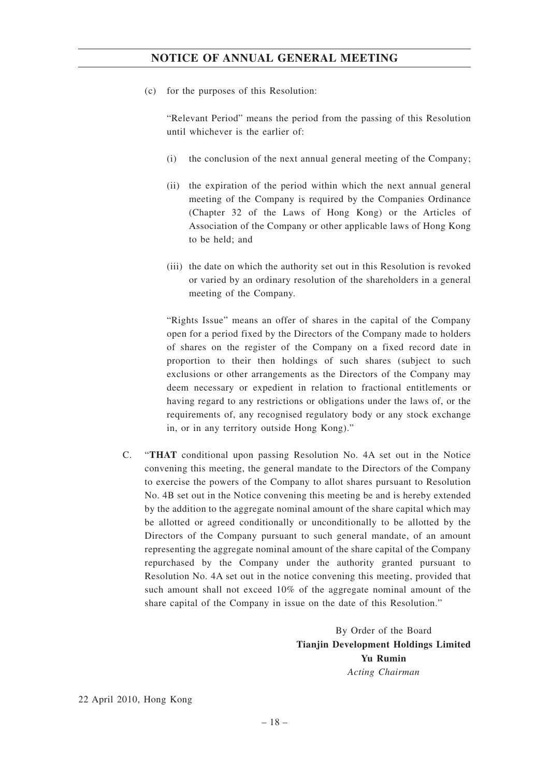(c) for the purposes of this Resolution:

"Relevant Period" means the period from the passing of this Resolution until whichever is the earlier of:

- (i) the conclusion of the next annual general meeting of the Company;
- (ii) the expiration of the period within which the next annual general meeting of the Company is required by the Companies Ordinance (Chapter 32 of the Laws of Hong Kong) or the Articles of Association of the Company or other applicable laws of Hong Kong to be held; and
- (iii) the date on which the authority set out in this Resolution is revoked or varied by an ordinary resolution of the shareholders in a general meeting of the Company.

"Rights Issue" means an offer of shares in the capital of the Company open for a period fixed by the Directors of the Company made to holders of shares on the register of the Company on a fixed record date in proportion to their then holdings of such shares (subject to such exclusions or other arrangements as the Directors of the Company may deem necessary or expedient in relation to fractional entitlements or having regard to any restrictions or obligations under the laws of, or the requirements of, any recognised regulatory body or any stock exchange in, or in any territory outside Hong Kong)."

C. "**THAT** conditional upon passing Resolution No. 4A set out in the Notice convening this meeting, the general mandate to the Directors of the Company to exercise the powers of the Company to allot shares pursuant to Resolution No. 4B set out in the Notice convening this meeting be and is hereby extended by the addition to the aggregate nominal amount of the share capital which may be allotted or agreed conditionally or unconditionally to be allotted by the Directors of the Company pursuant to such general mandate, of an amount representing the aggregate nominal amount of the share capital of the Company repurchased by the Company under the authority granted pursuant to Resolution No. 4A set out in the notice convening this meeting, provided that such amount shall not exceed 10% of the aggregate nominal amount of the share capital of the Company in issue on the date of this Resolution."

> By Order of the Board **Tianjin Development Holdings Limited Yu Rumin** *Acting Chairman*